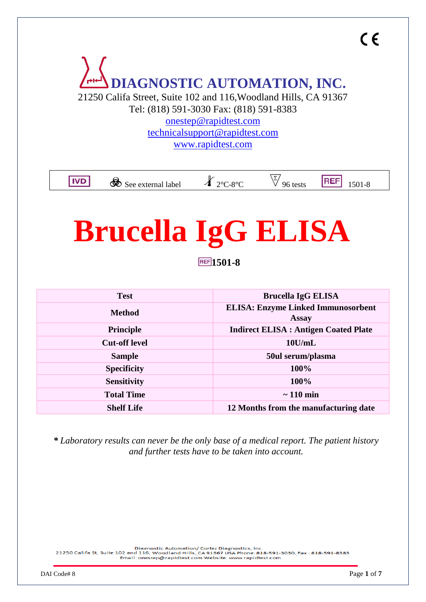

21250 Califa Street, Suite 102 and 116,Woodland Hills, CA 91367

Tel: (818) 591-3030 Fax: (818) 591-8383 [onestep@rapidtest.com](mailto:onestep@rapidtest.com)

[technicalsupport@rapidtest.com](mailto:technicalsupport@rapidtest.com) [www.rapidtest.com](http://www.rapidtest.com/)

**IVD** 

So See external label  $\qquad$   $\qquad$   $\qquad$  2°C-8°C  $\qquad$   $\qquad$   $\frac{1501-8}{2}$ 

# **Brucella IgG ELISA**

**1501-8**

| <b>Test</b>          | <b>Brucella IgG ELISA</b>                                 |  |
|----------------------|-----------------------------------------------------------|--|
| <b>Method</b>        | <b>ELISA: Enzyme Linked Immunosorbent</b><br><b>Assay</b> |  |
| <b>Principle</b>     | <b>Indirect ELISA : Antigen Coated Plate</b>              |  |
| <b>Cut-off level</b> | $10$ U/mL                                                 |  |
| <b>Sample</b>        | 50ul serum/plasma                                         |  |
| <b>Specificity</b>   | 100%                                                      |  |
| <b>Sensitivity</b>   | 100%                                                      |  |
| <b>Total Time</b>    | $\sim$ 110 min                                            |  |
| <b>Shelf Life</b>    | 12 Months from the manufacturing date                     |  |

*\* Laboratory results can never be the only base of a medical report. The patient history and further tests have to be taken into account.*

Diagnostic Automation/ Cortez Diagnostics, Inc.<br>21250 Califa St, Suite 102 and 116, Woodland Hills, CA 91367 USA Phone: 818-591-3030, Fax: 818-591-8383 Email: onestep@rapidtest.com Website: www.rapidtest.com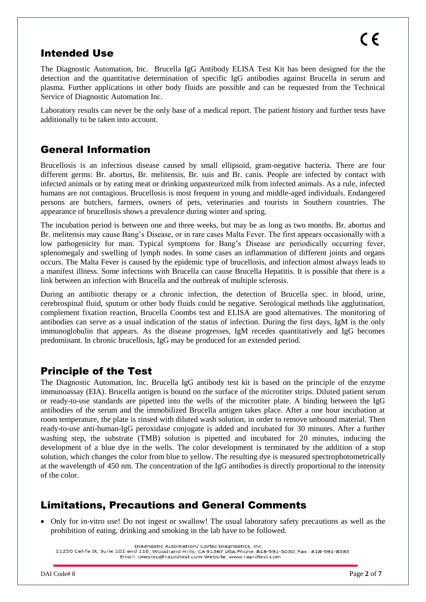# Intended Use

The Diagnostic Automation, Inc. Brucella IgG Antibody ELISA Test Kit has been designed for the the detection and the quantitative determination of specific IgG antibodies against Brucella in serum and plasma. Further applications in other body fluids are possible and can be requested from the Technical Service of Diagnostic Automation Inc.

Laboratory results can never be the only base of a medical report. The patient history and further tests have additionally to be taken into account.

# General Information

Brucellosis is an infectious disease caused by small ellipsoid, gram-negative bacteria. There are four different germs: Br. abortus, Br. melitensis, Br. suis and Br. canis. People are infected by contact with infected animals or by eating meat or drinking unpasteurized milk from infected animals. As a rule, infected humans are not contagious. Brucellosis is most frequent in young and middle-aged individuals. Endangered persons are butchers, farmers, owners of pets, veterinaries and tourists in Southern countries. The appearance of brucellosis shows a prevalence during winter and spring.

The incubation period is between one and three weeks, but may be as long as two months. Br. abortus and Br. melitensis may cause Bang's Disease, or in rare cases Malta Fever. The first appears occasionally with a low pathogenicity for man. Typical symptoms for Bang's Disease are periodically occurring fever, splenomegaly and swelling of lymph nodes. In some cases an inflammation of different joints and organs occurs. The Malta Fever is caused by the epidemic type of brucellosis, and infection almost always leads to a manifest illness. Some infections with Brucella can cause Brucella Hepatitis. It is possible that there is a link between an infection with Brucella and the outbreak of multiple sclerosis.

During an antibiotic therapy or a chronic infection, the detection of Brucella spec. in blood, urine, cerebrospinal fluid, sputum or other body fluids could be negative. Serological methods like agglutination, complement fixation reaction, Brucella Coombs test and ELISA are good alternatives. The monitoring of antibodies can serve as a usual indication of the status of infection. During the first days, IgM is the only immunoglobulin that appears. As the disease progresses, IgM recedes quantitatively and IgG becomes predominant. In chronic brucellosis, IgG may be produced for an extended period.

# Principle of the Test

The Diagnostic Automation, Inc. Brucella IgG antibody test kit is based on the principle of the enzyme immunoassay (EIA). Brucella antigen is bound on the surface of the microtiter strips. Diluted patient serum or ready-to-use standards are pipetted into the wells of the microtiter plate. A binding between the IgG antibodies of the serum and the immobilized Brucella antigen takes place. After a one hour incubation at room temperature, the plate is rinsed with diluted wash solution, in order to remove unbound material. Then ready-to-use anti-human-IgG peroxidase conjugate is added and incubated for 30 minutes. After a further washing step, the substrate (TMB) solution is pipetted and incubated for 20 minutes, inducing the development of a blue dye in the wells. The color development is terminated by the addition of a stop solution, which changes the color from blue to yellow. The resulting dye is measured spectrophotometrically at the wavelength of 450 nm. The concentration of the IgG antibodies is directly proportional to the intensity of the color.

# Limitations, Precautions and General Comments

 Only for in-vitro use! Do not ingest or swallow! The usual laboratory safety precautions as well as the prohibition of eating, drinking and smoking in the lab have to be followed.

Diagnostic Automation/ Cortez Diagnostics, Inc. 21250 Califa St, Suite 102 and 116, Woodland Hills, CA 91367 USA Phone: 818-591-3030, Fax: 818-591-8383 Email: onestep@rapidtest.com Website: www.rapidtest.com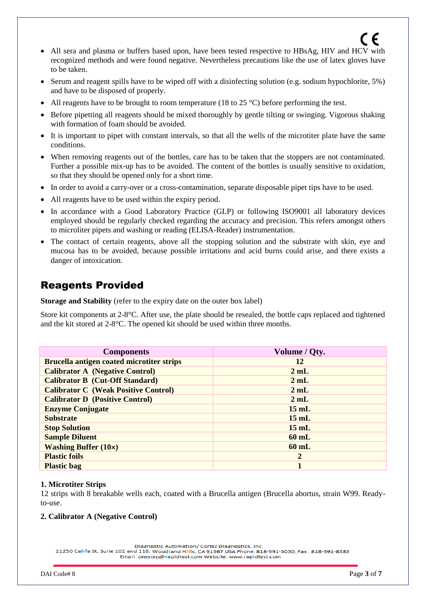- All sera and plasma or buffers based upon, have been tested respective to HBsAg, HIV and HCV with recognized methods and were found negative. Nevertheless precautions like the use of latex gloves have to be taken.
- Serum and reagent spills have to be wiped off with a disinfecting solution (e.g. sodium hypochlorite, 5%) and have to be disposed of properly.
- All reagents have to be brought to room temperature (18 to 25  $^{\circ}$ C) before performing the test.
- Before pipetting all reagents should be mixed thoroughly by gentle tilting or swinging. Vigorous shaking with formation of foam should be avoided.
- It is important to pipet with constant intervals, so that all the wells of the microtiter plate have the same conditions.
- When removing reagents out of the bottles, care has to be taken that the stoppers are not contaminated. Further a possible mix-up has to be avoided. The content of the bottles is usually sensitive to oxidation, so that they should be opened only for a short time.
- In order to avoid a carry-over or a cross-contamination, separate disposable pipet tips have to be used.
- All reagents have to be used within the expiry period.
- In accordance with a Good Laboratory Practice (GLP) or following ISO9001 all laboratory devices employed should be regularly checked regarding the accuracy and precision. This refers amongst others to microliter pipets and washing or reading (ELISA-Reader) instrumentation.
- The contact of certain reagents, above all the stopping solution and the substrate with skin, eye and mucosa has to be avoided, because possible irritations and acid burns could arise, and there exists a danger of intoxication.

# Reagents Provided

**Storage and Stability** (refer to the expiry date on the outer box label)

Store kit components at 2-8°C. After use, the plate should be resealed, the bottle caps replaced and tightened and the kit stored at 2-8°C. The opened kit should be used within three months.

| <b>Components</b>                             | Volume / Qty.   |
|-----------------------------------------------|-----------------|
| Brucella antigen coated microtiter strips     | 12              |
| <b>Calibrator A</b> (Negative Control)        | 2mL             |
| <b>Calibrator B (Cut-Off Standard)</b>        | 2mL             |
| <b>Calibrator C (Weak Positive Control)</b>   | 2mL             |
| <b>Calibrator D</b> (Positive Control)        | 2mL             |
| <b>Enzyme Conjugate</b>                       | $15 \text{ mL}$ |
| <b>Substrate</b>                              | $15 \text{ mL}$ |
| <b>Stop Solution</b>                          | $15 \text{ mL}$ |
| <b>Sample Diluent</b>                         | $60$ mL         |
| <b>Washing Buffer <math>(10\times)</math></b> | $60$ mL         |
| <b>Plastic foils</b>                          | $\mathbf{2}$    |
| <b>Plastic bag</b>                            |                 |

#### **1. Microtiter Strips**

12 strips with 8 breakable wells each, coated with a Brucella antigen (Brucella abortus, strain W99. Readyto-use.

#### **2. Calibrator A (Negative Control)**

Diagnostic Automation/ Cortez Diagnostics, Inc.

21250 Califa St, Suite 102 and 116, Woodland Hills, CA 91367 USA Phone: 818-591-3030, Fax: 818-591-8383 Email: onestep@rapidtest.com Website: www.rapidtest.com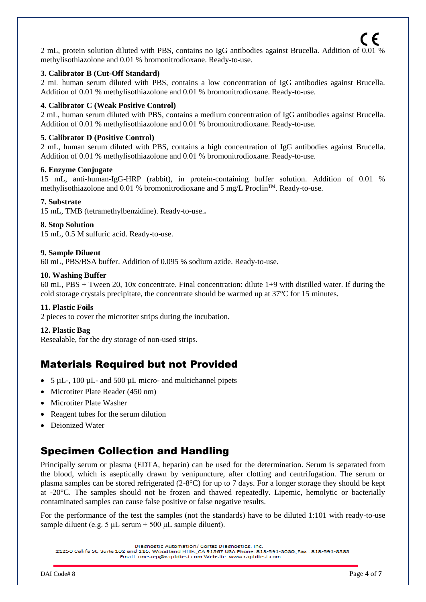2 mL, protein solution diluted with PBS, contains no IgG antibodies against Brucella. Addition of 0.01 % methylisothiazolone and 0.01 % bromonitrodioxane. Ready-to-use.

#### **3. Calibrator B (Cut-Off Standard)**

2 mL human serum diluted with PBS, contains a low concentration of IgG antibodies against Brucella. Addition of 0.01 % methylisothiazolone and 0.01 % bromonitrodioxane. Ready-to-use.

#### **4. Calibrator C (Weak Positive Control)**

2 mL, human serum diluted with PBS, contains a medium concentration of IgG antibodies against Brucella. Addition of 0.01 % methylisothiazolone and 0.01 % bromonitrodioxane. Ready-to-use.

#### **5. Calibrator D (Positive Control)**

2 mL, human serum diluted with PBS, contains a high concentration of IgG antibodies against Brucella. Addition of 0.01 % methylisothiazolone and 0.01 % bromonitrodioxane. Ready-to-use.

#### **6. Enzyme Conjugate**

15 mL, anti-human-IgG-HRP (rabbit), in protein-containing buffer solution. Addition of 0.01 % methylisothiazolone and 0.01 % bromonitrodioxane and 5 mg/L Proclin<sup>TM</sup>. Ready-to-use.

#### **7. Substrate**

15 mL, TMB (tetramethylbenzidine). Ready-to-use.**.**

#### **8. Stop Solution**

15 mL, 0.5 M sulfuric acid. Ready-to-use.

#### **9. Sample Diluent**

60 mL, PBS/BSA buffer. Addition of 0.095 % sodium azide. Ready-to-use.

#### **10. Washing Buffer**

60 mL, PBS + Tween 20, 10x concentrate. Final concentration: dilute 1+9 with distilled water. If during the cold storage crystals precipitate, the concentrate should be warmed up at 37°C for 15 minutes.

#### **11. Plastic Foils**

2 pieces to cover the microtiter strips during the incubation.

#### **12. Plastic Bag**

Resealable, for the dry storage of non-used strips.

## Materials Required but not Provided

- $\bullet$  5 µL-, 100 µL- and 500 µL micro- and multichannel pipets
- Microtiter Plate Reader (450 nm)
- Microtiter Plate Washer
- Reagent tubes for the serum dilution
- Deionized Water

# Specimen Collection and Handling

Principally serum or plasma (EDTA, heparin) can be used for the determination. Serum is separated from the blood, which is aseptically drawn by venipuncture, after clotting and centrifugation. The serum or plasma samples can be stored refrigerated (2-8°C) for up to 7 days. For a longer storage they should be kept at -20°C. The samples should not be frozen and thawed repeatedly. Lipemic, hemolytic or bacterially contaminated samples can cause false positive or false negative results.

For the performance of the test the samples (not the standards) have to be diluted 1:101 with ready-to-use sample diluent (e.g. 5  $\mu$ L serum + 500  $\mu$ L sample diluent).

21250 Califa St, Suite 102 and 116, Woodland Hills, CA 91367 USA Phone: 818-591-3030, Fax: 818-591-8383 Email: onestep@rapidtest.com Website: www.rapidtest.com

Diagnostic Automation/ Cortez Diagnostics, Inc.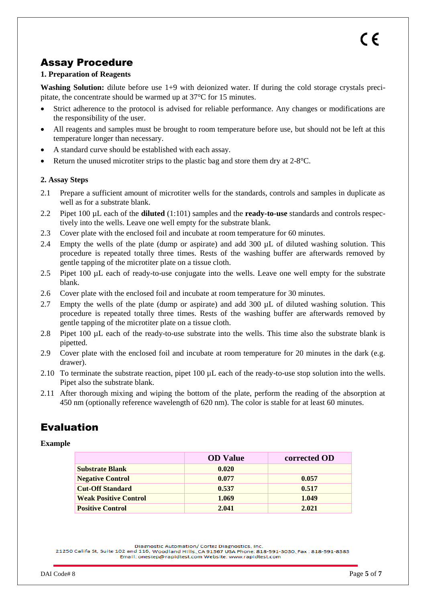# Assay Procedure

#### **1. Preparation of Reagents**

**Washing Solution:** dilute before use 1+9 with deionized water. If during the cold storage crystals precipitate, the concentrate should be warmed up at 37°C for 15 minutes.

- Strict adherence to the protocol is advised for reliable performance. Any changes or modifications are the responsibility of the user.
- All reagents and samples must be brought to room temperature before use, but should not be left at this temperature longer than necessary.
- A standard curve should be established with each assay.
- Return the unused microtiter strips to the plastic bag and store them dry at 2-8°C.

#### **2. Assay Steps**

- 2.1 Prepare a sufficient amount of microtiter wells for the standards, controls and samples in duplicate as well as for a substrate blank.
- 2.2 Pipet 100 µL each of the **diluted** (1:101) samples and the **ready-to-use** standards and controls respectively into the wells. Leave one well empty for the substrate blank.
- 2.3 Cover plate with the enclosed foil and incubate at room temperature for 60 minutes.
- 2.4 Empty the wells of the plate (dump or aspirate) and add 300 µL of diluted washing solution. This procedure is repeated totally three times. Rests of the washing buffer are afterwards removed by gentle tapping of the microtiter plate on a tissue cloth.
- 2.5 Pipet 100 µL each of ready-to-use conjugate into the wells. Leave one well empty for the substrate blank.
- 2.6 Cover plate with the enclosed foil and incubate at room temperature for 30 minutes.
- 2.7 Empty the wells of the plate (dump or aspirate) and add 300 µL of diluted washing solution. This procedure is repeated totally three times. Rests of the washing buffer are afterwards removed by gentle tapping of the microtiter plate on a tissue cloth.
- 2.8 Pipet 100 µL each of the ready-to-use substrate into the wells. This time also the substrate blank is pipetted.
- 2.9 Cover plate with the enclosed foil and incubate at room temperature for 20 minutes in the dark (e.g. drawer).
- 2.10 To terminate the substrate reaction, pipet 100 µL each of the ready-to-use stop solution into the wells. Pipet also the substrate blank.
- 2.11 After thorough mixing and wiping the bottom of the plate, perform the reading of the absorption at 450 nm (optionally reference wavelength of 620 nm). The color is stable for at least 60 minutes.

# Evaluation

#### **Example**

|                              | <b>OD</b> Value | corrected OD |
|------------------------------|-----------------|--------------|
| <b>Substrate Blank</b>       | 0.020           |              |
| <b>Negative Control</b>      | 0.077           | 0.057        |
| <b>Cut-Off Standard</b>      | 0.537           | 0.517        |
| <b>Weak Positive Control</b> | 1.069           | 1.049        |
| <b>Positive Control</b>      | 2.041           | 2.021        |

Diagnostic Automation/ Cortez Diagnostics, Inc.

<sup>21250</sup> Califa St, Suite 102 and 116, Woodland Hills, CA 91367 USA Phone: 818-591-3030, Fax: 818-591-8383 Email: onestep@rapidtest.com Website: www.rapidtest.com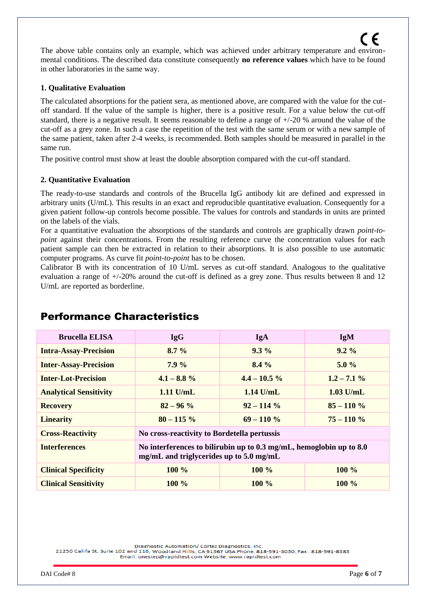The above table contains only an example, which was achieved under arbitrary temperature and environmental conditions. The described data constitute consequently **no reference values** which have to be found in other laboratories in the same way.

#### **1. Qualitative Evaluation**

The calculated absorptions for the patient sera, as mentioned above, are compared with the value for the cutoff standard. If the value of the sample is higher, there is a positive result. For a value below the cut-off standard, there is a negative result. It seems reasonable to define a range of  $+/-20$  % around the value of the cut-off as a grey zone. In such a case the repetition of the test with the same serum or with a new sample of the same patient, taken after 2-4 weeks, is recommended. Both samples should be measured in parallel in the same run.

The positive control must show at least the double absorption compared with the cut-off standard.

#### **2. Quantitative Evaluation**

The ready-to-use standards and controls of the Brucella IgG antibody kit are defined and expressed in arbitrary units (U/mL). This results in an exact and reproducible quantitative evaluation. Consequently for a given patient follow-up controls become possible. The values for controls and standards in units are printed on the labels of the vials.

For a quantitative evaluation the absorptions of the standards and controls are graphically drawn *point-topoint* against their concentrations. From the resulting reference curve the concentration values for each patient sample can then be extracted in relation to their absorptions. It is also possible to use automatic computer programs. As curve fit *point-to-point* has to be chosen.

Calibrator B with its concentration of 10 U/mL serves as cut-off standard. Analogous to the qualitative evaluation a range of  $+/-20\%$  around the cut-off is defined as a grey zone. Thus results between 8 and 12 U/mL are reported as borderline.

| <b>Brucella ELISA</b>         | <b>IgG</b>                                                                                                                    | <b>IgA</b>      | <b>IgM</b>     |
|-------------------------------|-------------------------------------------------------------------------------------------------------------------------------|-----------------|----------------|
| <b>Intra-Assay-Precision</b>  | $8.7\%$                                                                                                                       | $9.3\%$         | $9.2\%$        |
| <b>Inter-Assay-Precision</b>  | $7.9\%$                                                                                                                       | $8.4\%$         | $5.0\%$        |
| <b>Inter-Lot-Precision</b>    | $4.1 - 8.8 \%$                                                                                                                | $4.4 - 10.5 \%$ | $1.2 - 7.1 \%$ |
| <b>Analytical Sensitivity</b> | $1.11$ U/mL                                                                                                                   | $1.14$ U/mL     | $1.03$ U/mL    |
| <b>Recovery</b>               | $82 - 96 %$                                                                                                                   | $92 - 114\%$    | $85 - 110\%$   |
| <b>Linearity</b>              | $80 - 115\%$                                                                                                                  | $69 - 110\%$    | $75 - 110 \%$  |
| <b>Cross-Reactivity</b>       | No cross-reactivity to Bordetella pertussis                                                                                   |                 |                |
| <b>Interferences</b>          | No interferences to bilirubin up to $0.3 \text{ mg/mL}$ , hemoglobin up to $8.0$<br>mg/mL and triglycerides up to $5.0$ mg/mL |                 |                |
| <b>Clinical Specificity</b>   | $100\%$                                                                                                                       | $100\%$         | $100\%$        |
| <b>Clinical Sensitivity</b>   | $100\%$                                                                                                                       | 100 $\%$        | $100\%$        |

## Performance Characteristics

Diagnostic Automation/ Cortez Diagnostics, Inc.

21250 Califa St, Suite 102 and 116, Woodland Hills, CA 91367 USA Phone: 818-591-3030, Fax: 818-591-8383 Email: onestep@rapidtest.com Website: www.rapidtest.com